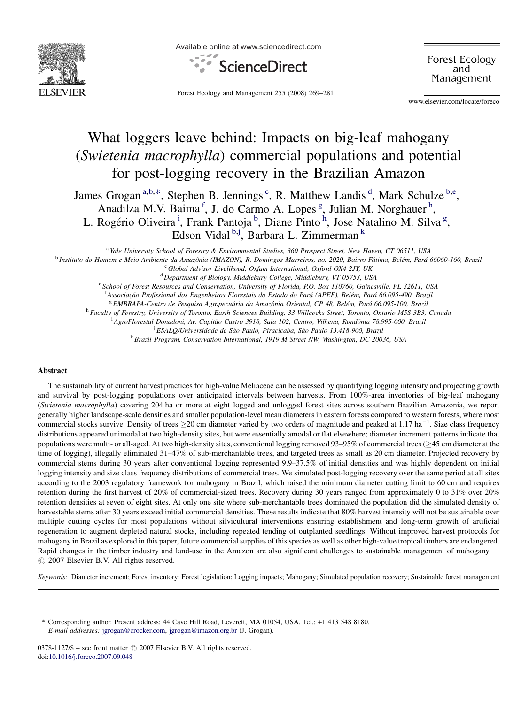

Available online at www.sciencedirect.com



Forest Ecology and Management

Forest Ecology and Management 255 (2008) 269–281

www.elsevier.com/locate/foreco

# What loggers leave behind: Impacts on big-leaf mahogany (Swietenia macrophylla) commercial populations and potential for post-logging recovery in the Brazilian Amazon

James Grogan<sup>a,b,\*</sup>, Stephen B. Jennings<sup>c</sup>, R. Matthew Landis<sup>d</sup>, Mark Schulze<sup>b,e</sup>, Anadilza M.V. Baima<sup>f</sup>, J. do Carmo A. Lopes<sup>g</sup>, Julian M. Norghauer<sup>h</sup>, L. Rogério Oliveira<sup>i</sup>, Frank Pantoja<sup>b</sup>, Diane Pinto<sup>h</sup>, Jose Natalino M. Silva<sup>g</sup>, Edson Vidal <sup>b,j</sup>, Barbara L. Zimmerman<sup>k</sup>

<sup>a</sup> Yale University School of Forestry & Environmental Studies, 360 Prospect Street, New Haven, CT 06511, USA

<sup>b</sup> Instituto do Homem e Meio Ambiente da Amazônia (IMAZON), R. Domingos Marreiros, no. 2020, Bairro Fátima, Belém, Pará 66060-160, Brazil

 $c$  Global Advisor Livelihood, Oxfam International, Oxford OX4 2JY, UK <sup>d</sup> Department of Biology, Middlebury College, Middlebury, VT 05753, USA

<sup>e</sup> School of Forest Resources and Conservation, University of Florida, P.O. Box 110760, Gainesville, FL 32611, USA

<sup>f</sup> Associação Profissional dos Engenheiros Florestais do Estado do Pará (APEF), Belém, Pará 66.095-490, Brazil

<sup>8</sup> EMBRAPA-Centro de Pesquisa Agropecuária da Amazônia Oriental, CP 48, Belém, Pará 66.095-100, Brazil

h Faculty of Forestry, University of Toronto, Earth Sciences Building, 33 Willcocks Street, Toronto, Ontario M5S 3B3, Canada

<sup>i</sup> AgroFlorestal Donadoni, Av. Capitão Castro 3918, Sala 102, Centro, Vilhena, Rondônia 78.995-000, Brazil

<sup>i</sup> ESALQ/Universidade de São Paulo, Piracicaba, São Paulo 13.418-900, Brazil

<sup>k</sup> Brazil Program, Conservation International, 1919 M Street NW, Washington, DC 20036, USA

#### Abstract

The sustainability of current harvest practices for high-value Meliaceae can be assessed by quantifying logging intensity and projecting growth and survival by post-logging populations over anticipated intervals between harvests. From 100%-area inventories of big-leaf mahogany (Swietenia macrophylla) covering 204 ha or more at eight logged and unlogged forest sites across southern Brazilian Amazonia, we report generally higher landscape-scale densities and smaller population-level mean diameters in eastern forests compared to western forests, where most commercial stocks survive. Density of trees  $\geq$ 20 cm diameter varied by two orders of magnitude and peaked at 1.17 ha<sup>-1</sup>. Size class frequency distributions appeared unimodal at two high-density sites, but were essentially amodal or flat elsewhere; diameter increment patterns indicate that populations were multi- or all-aged. At two high-density sites, conventional logging removed  $93-95\%$  of commercial trees ( $\geq$ 45 cm diameter at the time of logging), illegally eliminated 31–47% of sub-merchantable trees, and targeted trees as small as 20 cm diameter. Projected recovery by commercial stems during 30 years after conventional logging represented 9.9–37.5% of initial densities and was highly dependent on initial logging intensity and size class frequency distributions of commercial trees. We simulated post-logging recovery over the same period at all sites according to the 2003 regulatory framework for mahogany in Brazil, which raised the minimum diameter cutting limit to 60 cm and requires retention during the first harvest of 20% of commercial-sized trees. Recovery during 30 years ranged from approximately 0 to 31% over 20% retention densities at seven of eight sites. At only one site where sub-merchantable trees dominated the population did the simulated density of harvestable stems after 30 years exceed initial commercial densities. These results indicate that 80% harvest intensity will not be sustainable over multiple cutting cycles for most populations without silvicultural interventions ensuring establishment and long-term growth of artificial regeneration to augment depleted natural stocks, including repeated tending of outplanted seedlings. Without improved harvest protocols for mahogany in Brazil as explored in this paper, future commercial supplies of this species as well as other high-value tropical timbers are endangered. Rapid changes in the timber industry and land-use in the Amazon are also significant challenges to sustainable management of mahogany.  $\odot$  2007 Elsevier B.V. All rights reserved.

Keywords: Diameter increment; Forest inventory; Forest legislation; Logging impacts; Mahogany; Simulated population recovery; Sustainable forest management

\* Corresponding author. Present address: 44 Cave Hill Road, Leverett, MA 01054, USA. Tel.: +1 413 548 8180. E-mail addresses: [jgrogan@crocker.com](mailto:jgrogan@crocker.com), [jgrogan@imazon.org.br](mailto:jgrogan@imazon.org.br) (J. Grogan).

 $0378-1127/\$$  – see front matter  $\odot$  2007 Elsevier B.V. All rights reserved. doi:[10.1016/j.foreco.2007.09.048](http://dx.doi.org/10.1016/j.foreco.2007.09.048)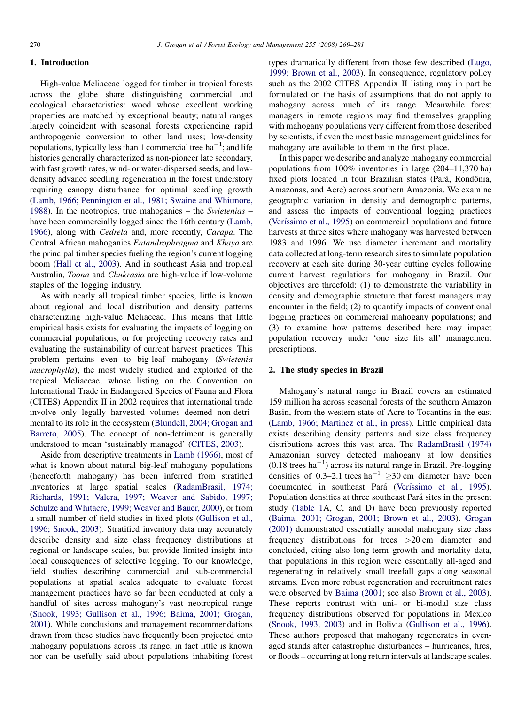## 1. Introduction

High-value Meliaceae logged for timber in tropical forests across the globe share distinguishing commercial and ecological characteristics: wood whose excellent working properties are matched by exceptional beauty; natural ranges largely coincident with seasonal forests experiencing rapid anthropogenic conversion to other land uses; low-density populations, typically less than 1 commercial tree  $ha^{-1}$ ; and life histories generally characterized as non-pioneer late secondary, with fast growth rates, wind- or water-dispersed seeds, and lowdensity advance seedling regeneration in the forest understory requiring canopy disturbance for optimal seedling growth ([Lamb, 1966; Pennington et al., 1981; Swaine and Whitmore,](#page-11-0) [1988\)](#page-11-0). In the neotropics, true mahoganies – the Swietenias – have been commercially logged since the 16th century ([Lamb,](#page-11-0) [1966\)](#page-11-0), along with Cedrela and, more recently, Carapa. The Central African mahoganies Entandrophragma and Khaya are the principal timber species fueling the region's current logging boom [\(Hall et al., 2003](#page-11-0)). And in southeast Asia and tropical Australia, Toona and Chukrasia are high-value if low-volume staples of the logging industry.

As with nearly all tropical timber species, little is known about regional and local distribution and density patterns characterizing high-value Meliaceae. This means that little empirical basis exists for evaluating the impacts of logging on commercial populations, or for projecting recovery rates and evaluating the sustainability of current harvest practices. This problem pertains even to big-leaf mahogany (Swietenia macrophylla), the most widely studied and exploited of the tropical Meliaceae, whose listing on the Convention on International Trade in Endangered Species of Fauna and Flora (CITES) Appendix II in 2002 requires that international trade involve only legally harvested volumes deemed non-detrimental to its role in the ecosystem [\(Blundell, 2004; Grogan and](#page-11-0) [Barreto, 2005\)](#page-11-0). The concept of non-detriment is generally understood to mean 'sustainably managed' [\(CITES, 2003\)](#page-11-0).

Aside from descriptive treatments in [Lamb \(1966\),](#page-11-0) most of what is known about natural big-leaf mahogany populations (henceforth mahogany) has been inferred from stratified inventories at large spatial scales [\(RadamBrasil, 1974;](#page-11-0) [Richards, 1991; Valera, 1997; Weaver and Sabido, 1997;](#page-11-0) [Schulze and Whitacre, 1999; Weaver and Bauer, 2000](#page-11-0)), or from a small number of field studies in fixed plots [\(Gullison et al.,](#page-11-0) [1996; Snook, 2003](#page-11-0)). Stratified inventory data may accurately describe density and size class frequency distributions at regional or landscape scales, but provide limited insight into local consequences of selective logging. To our knowledge, field studies describing commercial and sub-commercial populations at spatial scales adequate to evaluate forest management practices have so far been conducted at only a handful of sites across mahogany's vast neotropical range ([Snook, 1993; Gullison et al., 1996; Baima, 2001; Grogan,](#page-12-0) [2001\)](#page-12-0). While conclusions and management recommendations drawn from these studies have frequently been projected onto mahogany populations across its range, in fact little is known nor can be usefully said about populations inhabiting forest types dramatically different from those few described [\(Lugo,](#page-11-0) [1999; Brown et al., 2003\)](#page-11-0). In consequence, regulatory policy such as the 2002 CITES Appendix II listing may in part be formulated on the basis of assumptions that do not apply to mahogany across much of its range. Meanwhile forest managers in remote regions may find themselves grappling with mahogany populations very different from those described by scientists, if even the most basic management guidelines for mahogany are available to them in the first place.

In this paper we describe and analyze mahogany commercial populations from 100% inventories in large (204–11,370 ha) fixed plots located in four Brazilian states (Pará, Rondônia, Amazonas, and Acre) across southern Amazonia. We examine geographic variation in density and demographic patterns, and assess the impacts of conventional logging practices (Veríssimo et al., 1995) on commercial populations and future harvests at three sites where mahogany was harvested between 1983 and 1996. We use diameter increment and mortality data collected at long-term research sites to simulate population recovery at each site during 30-year cutting cycles following current harvest regulations for mahogany in Brazil. Our objectives are threefold: (1) to demonstrate the variability in density and demographic structure that forest managers may encounter in the field; (2) to quantify impacts of conventional logging practices on commercial mahogany populations; and (3) to examine how patterns described here may impact population recovery under 'one size fits all' management prescriptions.

## 2. The study species in Brazil

Mahogany's natural range in Brazil covers an estimated 159 million ha across seasonal forests of the southern Amazon Basin, from the western state of Acre to Tocantins in the east [\(Lamb, 1966; Martinez et al., in press\)](#page-11-0). Little empirical data exists describing density patterns and size class frequency distributions across this vast area. The [RadamBrasil \(1974\)](#page-11-0) Amazonian survey detected mahogany at low densities  $(0.18$  trees ha<sup>-1</sup>) across its natural range in Brazil. Pre-logging densities of 0.3–2.1 trees ha<sup>-1</sup>  $\geq$ 30 cm diameter have been documented in southeast Pará (Veríssimo et al., 1995). Population densities at three southeast Pará sites in the present study [\(Table 1](#page-2-0)A, C, and D) have been previously reported [\(Baima, 2001; Grogan, 2001; Brown et al., 2003](#page-10-0)). [Grogan](#page-11-0) [\(2001\)](#page-11-0) demonstrated essentially amodal mahogany size class frequency distributions for trees >20 cm diameter and concluded, citing also long-term growth and mortality data, that populations in this region were essentially all-aged and regenerating in relatively small treefall gaps along seasonal streams. Even more robust regeneration and recruitment rates were observed by [Baima \(2001](#page-10-0); see also [Brown et al., 2003\)](#page-11-0). These reports contrast with uni- or bi-modal size class frequency distributions observed for populations in Mexico [\(Snook, 1993, 2003](#page-12-0)) and in Bolivia ([Gullison et al., 1996\)](#page-11-0). These authors proposed that mahogany regenerates in evenaged stands after catastrophic disturbances – hurricanes, fires, or floods – occurring at long return intervals at landscape scales.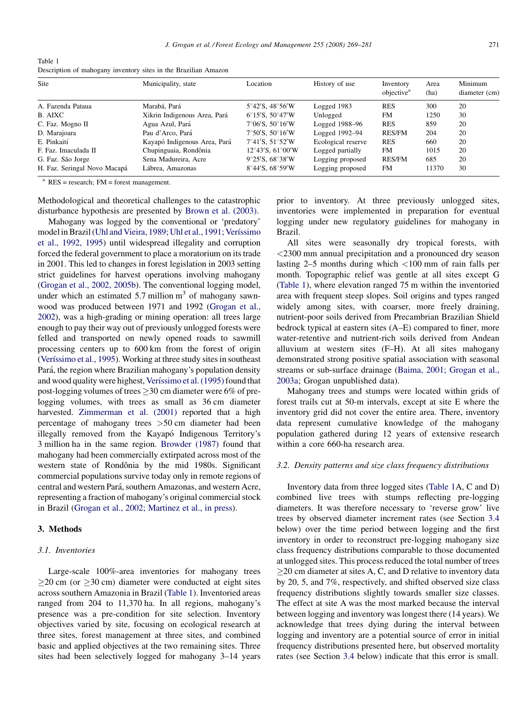<span id="page-2-0"></span>

| Table 1                                                         |  |
|-----------------------------------------------------------------|--|
| Description of mahogany inventory sites in the Brazilian Amazon |  |

| Site                         | Municipality, state          | Location                                             | History of use     | Inventory<br>objective <sup>a</sup> | Area<br>(ha) | Minimum<br>diameter (cm) |
|------------------------------|------------------------------|------------------------------------------------------|--------------------|-------------------------------------|--------------|--------------------------|
| A. Fazenda Pataua            | Marabá, Pará                 | $5^{\circ}42^{\prime}$ S. $48^{\circ}56^{\prime}$ W  | Logged 1983        | <b>RES</b>                          | 300          | 20                       |
| B. AIXC                      | Xikrin Indigenous Area, Pará | $6^{\circ}15^{\prime}$ S. 50 $^{\circ}47^{\prime}$ W | Unlogged           | <b>FM</b>                           | 1250         | 30                       |
| C. Faz. Mogno II             | Agua Azul, Pará              | $7^{\circ}06^{\prime}S$ , $50^{\circ}16^{\prime}W$   | Logged $1988-96$   | <b>RES</b>                          | 859          | 20                       |
| D. Marajoara                 | Pau d'Arco, Pará             | $7^{\circ}50^{\prime}$ S. $50^{\circ}16^{\prime}$ W  | Logged $1992-94$   | <b>RES/FM</b>                       | 204          | 20                       |
| E. Pinkaití                  | Kayapó Indigenous Area, Pará | $7^{\circ}41^{\prime}$ S. 51 $^{\circ}52^{\prime}$ W | Ecological reserve | <b>RES</b>                          | 660          | 20                       |
| F. Faz. Imaculada II         | Chupinguaia, Rondônia        | $12^{\circ}43'$ S, $61^{\circ}00'$ W                 | Logged partially   | <b>FM</b>                           | 1015         | 20                       |
| G. Faz. São Jorge            | Sena Madureira, Acre         | $9^{\circ}25^{\prime}S$ , 68 $^{\circ}38^{\prime}W$  | Logging proposed   | <b>RES/FM</b>                       | 685          | 20                       |
| H. Faz. Seringal Novo Macapá | Lábrea, Amazonas             | $8^{\circ}44'$ S, 68 $^{\circ}59'$ W                 | Logging proposed   | <b>FM</b>                           | 11370        | 30                       |

 $A$ <sup>a</sup> RES = research; FM = forest management.

Methodological and theoretical challenges to the catastrophic disturbance hypothesis are presented by [Brown et al. \(2003\)](#page-11-0).

Mahogany was logged by the conventional or 'predatory' model in Brazil (Uhl and Vieira, 1989; Uhl et al., 1991; Veríssimo [et al., 1992, 1995](#page-12-0)) until widespread illegality and corruption forced the federal government to place a moratorium on its trade in 2001. This led to changes in forest legislation in 2003 setting strict guidelines for harvest operations involving mahogany ([Grogan et al., 2002, 2005b\)](#page-11-0). The conventional logging model, under which an estimated  $5.7$  million m<sup>3</sup> of mahogany sawnwood was produced between 1971 and 1992 [\(Grogan et al.,](#page-11-0) [2002](#page-11-0)), was a high-grading or mining operation: all trees large enough to pay their way out of previously unlogged forests were felled and transported on newly opened roads to sawmill processing centers up to 600 km from the forest of origin (Veríssimo et al., 1995). Working at three study sites in southeast Pará, the region where Brazilian mahogany's population density and wood quality were highest, Veríssimo et al. (1995) found that post-logging volumes of trees  ${\geq}30$  cm diameter were 6% of prelogging volumes, with trees as small as 36 cm diameter harvested. [Zimmerman et al. \(2001\)](#page-12-0) reported that a high percentage of mahogany trees >50 cm diameter had been illegally removed from the Kayapó Indigenous Territory's 3 million ha in the same region. [Browder \(1987\)](#page-11-0) found that mahogany had been commercially extirpated across most of the western state of Rondônia by the mid 1980s. Significant commercial populations survive today only in remote regions of central and western Para´, southern Amazonas, and western Acre, representing a fraction of mahogany's original commercial stock in Brazil ([Grogan et al., 2002; Martinez et al., in press\)](#page-11-0).

# 3. Methods

#### 3.1. Inventories

Large-scale 100%-area inventories for mahogany trees  $\geq$ 20 cm (or  $\geq$ 30 cm) diameter were conducted at eight sites across southern Amazonia in Brazil (Table 1). Inventoried areas ranged from 204 to 11,370 ha. In all regions, mahogany's presence was a pre-condition for site selection. Inventory objectives varied by site, focusing on ecological research at three sites, forest management at three sites, and combined basic and applied objectives at the two remaining sites. Three sites had been selectively logged for mahogany 3–14 years prior to inventory. At three previously unlogged sites, inventories were implemented in preparation for eventual logging under new regulatory guidelines for mahogany in Brazil.

All sites were seasonally dry tropical forests, with <2300 mm annual precipitation and a pronounced dry season lasting 2–5 months during which <100 mm of rain falls per month. Topographic relief was gentle at all sites except G (Table 1), where elevation ranged 75 m within the inventoried area with frequent steep slopes. Soil origins and types ranged widely among sites, with coarser, more freely draining, nutrient-poor soils derived from Precambrian Brazilian Shield bedrock typical at eastern sites (A–E) compared to finer, more water-retentive and nutrient-rich soils derived from Andean alluvium at western sites (F–H). At all sites mahogany demonstrated strong positive spatial association with seasonal streams or sub-surface drainage ([Baima, 2001; Grogan et al.,](#page-10-0) [2003a;](#page-10-0) Grogan unpublished data).

Mahogany trees and stumps were located within grids of forest trails cut at 50-m intervals, except at site E where the inventory grid did not cover the entire area. There, inventory data represent cumulative knowledge of the mahogany population gathered during 12 years of extensive research within a core 660-ha research area.

#### 3.2. Density patterns and size class frequency distributions

Inventory data from three logged sites (Table 1A, C and D) combined live trees with stumps reflecting pre-logging diameters. It was therefore necessary to 'reverse grow' live trees by observed diameter increment rates (see Section [3.4](#page-3-0) below) over the time period between logging and the first inventory in order to reconstruct pre-logging mahogany size class frequency distributions comparable to those documented at unlogged sites. This process reduced the total number of trees  $\geq$ 20 cm diameter at sites A, C, and D relative to inventory data by 20, 5, and 7%, respectively, and shifted observed size class frequency distributions slightly towards smaller size classes. The effect at site A was the most marked because the interval between logging and inventory was longest there (14 years). We acknowledge that trees dying during the interval between logging and inventory are a potential source of error in initial frequency distributions presented here, but observed mortality rates (see Section [3.4](#page-3-0) below) indicate that this error is small.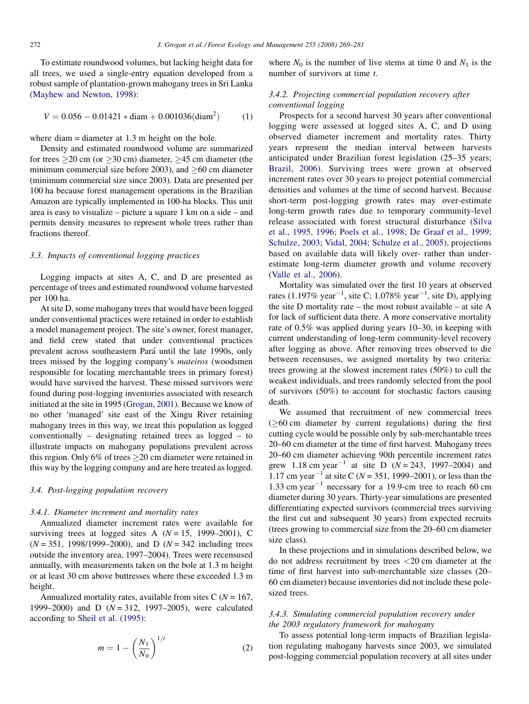<span id="page-3-0"></span>To estimate roundwood volumes, but lacking height data for all trees, we used a single-entry equation developed from a robust sample of plantation-grown mahogany trees in Sri Lanka ([Mayhew and Newton, 1998](#page-11-0)):

$$
V = 0.056 - 0.01421 * diam + 0.001036 (diam2)
$$
 (1)

where diam  $=$  diameter at 1.3 m height on the bole.

Density and estimated roundwood volume are summarized for trees  $\geq$ 20 cm (or  $\geq$ 30 cm) diameter,  $\geq$ 45 cm diameter (the minimum commercial size before 2003), and  $\geq 60$  cm diameter (minimum commercial size since 2003). Data are presented per 100 ha because forest management operations in the Brazilian Amazon are typically implemented in 100-ha blocks. This unit area is easy to visualize – picture a square 1 km on a side – and permits density measures to represent whole trees rather than fractions thereof.

#### 3.3. Impacts of conventional logging practices

Logging impacts at sites A, C, and D are presented as percentage of trees and estimated roundwood volume harvested per 100 ha.

At site D, some mahogany trees that would have been logged under conventional practices were retained in order to establish a model management project. The site's owner, forest manager, and field crew stated that under conventional practices prevalent across southeastern Para´ until the late 1990s, only trees missed by the logging company's mateiros (woodsmen responsible for locating merchantable trees in primary forest) would have survived the harvest. These missed survivors were found during post-logging inventories associated with research initiated at the site in 1995 [\(Grogan, 2001](#page-11-0)). Because we know of no other 'managed' site east of the Xingu River retaining mahogany trees in this way, we treat this population as logged conventionally – designating retained trees as logged – to illustrate impacts on mahogany populations prevalent across this region. Only 6% of trees  $\geq$  20 cm diameter were retained in this way by the logging company and are here treated as logged.

#### 3.4. Post-logging population recovery

#### 3.4.1. Diameter increment and mortality rates

Annualized diameter increment rates were available for surviving trees at logged sites A  $(N = 15, 1999-2001)$ , C  $(N = 351, 1998/1999 - 2000)$ , and D  $(N = 342$  including trees outside the inventory area, 1997–2004). Trees were recensused annually, with measurements taken on the bole at 1.3 m height or at least 30 cm above buttresses where these exceeded 1.3 m height.

Annualized mortality rates, available from sites  $C (N = 167,$ 1999–2000) and D ( $N = 312, 1997$ –2005), were calculated according to [Sheil et al. \(1995\):](#page-11-0)

$$
m = 1 - \left(\frac{N_1}{N_0}\right)^{1/t}
$$
 (2)

where  $N_0$  is the number of live stems at time 0 and  $N_1$  is the number of survivors at time t.

# 3.4.2. Projecting commercial population recovery after conventional logging

Prospects for a second harvest 30 years after conventional logging were assessed at logged sites A, C, and D using observed diameter increment and mortality rates. Thirty years represent the median interval between harvests anticipated under Brazilian forest legislation (25–35 years; [Brazil, 2006\)](#page-11-0). Surviving trees were grown at observed increment rates over 30 years to project potential commercial densities and volumes at the time of second harvest. Because short-term post-logging growth rates may over-estimate long-term growth rates due to temporary community-level release associated with forest structural disturbance ([Silva](#page-11-0) [et al., 1995, 1996; Poels et al., 1998; De Graaf et al., 1999;](#page-11-0) [Schulze, 2003; Vidal, 2004; Schulze et al., 2005\)](#page-11-0), projections based on available data will likely over- rather than underestimate long-term diameter growth and volume recovery [\(Valle et al., 2006](#page-12-0)).

Mortality was simulated over the first 10 years at observed rates (1.197% year<sup>-1</sup>, site C; 1.078% year<sup>-1</sup>, site D), applying the site D mortality rate – the most robust available – at site A for lack of sufficient data there. A more conservative mortality rate of 0.5% was applied during years 10–30, in keeping with current understanding of long-term community-level recovery after logging as above. After removing trees observed to die between recensuses, we assigned mortality by two criteria: trees growing at the slowest increment rates (50%) to cull the weakest individuals, and trees randomly selected from the pool of survivors (50%) to account for stochastic factors causing death.

We assumed that recruitment of new commercial trees  $(\geq 60$  cm diameter by current regulations) during the first cutting cycle would be possible only by sub-merchantable trees 20–60 cm diameter at the time of first harvest. Mahogany trees 20–60 cm diameter achieving 90th percentile increment rates grew 1.18 cm year<sup>-1</sup> at site D ( $N = 243$ , 1997–2004) and 1.17 cm year<sup>-1</sup> at site C ( $N = 351$ , 1999–2001), or less than the 1.33 cm year<sup>-1</sup> necessary for a 19.9-cm tree to reach 60 cm diameter during 30 years. Thirty-year simulations are presented differentiating expected survivors (commercial trees surviving the first cut and subsequent 30 years) from expected recruits (trees growing to commercial size from the 20–60 cm diameter size class).

In these projections and in simulations described below, we do not address recruitment by trees <20 cm diameter at the time of first harvest into sub-merchantable size classes (20– 60 cm diameter) because inventories did not include these polesized trees.

## 3.4.3. Simulating commercial population recovery under the 2003 regulatory framework for mahogany

To assess potential long-term impacts of Brazilian legislation regulating mahogany harvests since 2003, we simulated post-logging commercial population recovery at all sites under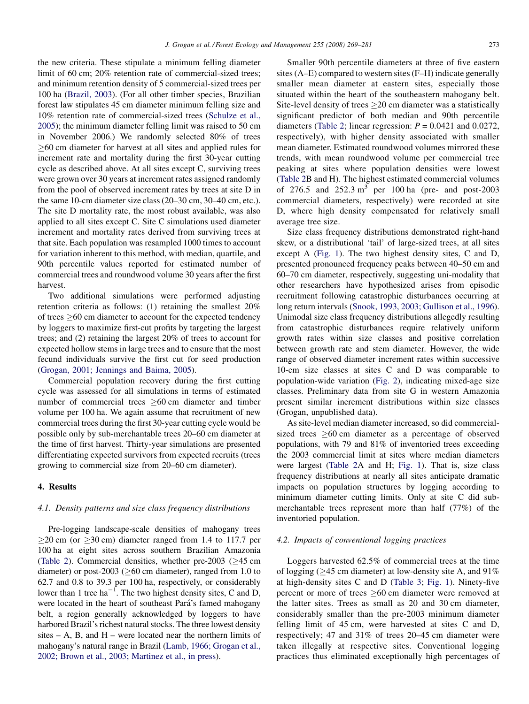the new criteria. These stipulate a minimum felling diameter limit of 60 cm; 20% retention rate of commercial-sized trees; and minimum retention density of 5 commercial-sized trees per 100 ha ([Brazil, 2003](#page-11-0)). (For all other timber species, Brazilian forest law stipulates 45 cm diameter minimum felling size and 10% retention rate of commercial-sized trees [\(Schulze et al.,](#page-11-0) [2005](#page-11-0)); the minimum diameter felling limit was raised to 50 cm in November 2006.) We randomly selected 80% of trees  $\geq$ 60 cm diameter for harvest at all sites and applied rules for increment rate and mortality during the first 30-year cutting cycle as described above. At all sites except C, surviving trees were grown over 30 years at increment rates assigned randomly from the pool of observed increment rates by trees at site D in the same 10-cm diameter size class (20–30 cm, 30–40 cm, etc.). The site D mortality rate, the most robust available, was also applied to all sites except C. Site C simulations used diameter increment and mortality rates derived from surviving trees at that site. Each population was resampled 1000 times to account for variation inherent to this method, with median, quartile, and 90th percentile values reported for estimated number of commercial trees and roundwood volume 30 years after the first harvest.

Two additional simulations were performed adjusting retention criteria as follows: (1) retaining the smallest 20% of trees  $\geq$ 60 cm diameter to account for the expected tendency by loggers to maximize first-cut profits by targeting the largest trees; and (2) retaining the largest 20% of trees to account for expected hollow stems in large trees and to ensure that the most fecund individuals survive the first cut for seed production ([Grogan, 2001; Jennings and Baima, 2005\)](#page-11-0).

Commercial population recovery during the first cutting cycle was assessed for all simulations in terms of estimated number of commercial trees  $\geq 60$  cm diameter and timber volume per 100 ha. We again assume that recruitment of new commercial trees during the first 30-year cutting cycle would be possible only by sub-merchantable trees 20–60 cm diameter at the time of first harvest. Thirty-year simulations are presented differentiating expected survivors from expected recruits (trees growing to commercial size from 20–60 cm diameter).

#### 4. Results

## 4.1. Density patterns and size class frequency distributions

Pre-logging landscape-scale densities of mahogany trees  $\geq$ 20 cm (or  $\geq$ 30 cm) diameter ranged from 1.4 to 117.7 per 100 ha at eight sites across southern Brazilian Amazonia ([Table 2\)](#page-5-0). Commercial densities, whether pre-2003 ( $\geq$ 45 cm diameter) or post-2003 ( $\geq$ 60 cm diameter), ranged from 1.0 to 62.7 and 0.8 to 39.3 per 100 ha, respectively, or considerably lower than 1 tree ha<sup> $-1$ </sup>. The two highest density sites, C and D, were located in the heart of southeast Pará's famed mahogany belt, a region generally acknowledged by loggers to have harbored Brazil's richest natural stocks. The three lowest density sites  $- A$ , B, and H – were located near the northern limits of mahogany's natural range in Brazil ([Lamb, 1966; Grogan et al.,](#page-11-0) [2002; Brown et al., 2003; Martinez et al., in press\)](#page-11-0).

Smaller 90th percentile diameters at three of five eastern sites (A–E) compared to western sites (F–H) indicate generally smaller mean diameter at eastern sites, especially those situated within the heart of the southeastern mahogany belt. Site-level density of trees  $\geq$  20 cm diameter was a statistically significant predictor of both median and 90th percentile diameters [\(Table 2;](#page-5-0) linear regression:  $P = 0.0421$  and 0.0272, respectively), with higher density associated with smaller mean diameter. Estimated roundwood volumes mirrored these trends, with mean roundwood volume per commercial tree peaking at sites where population densities were lowest ([Table 2B](#page-5-0) and H). The highest estimated commercial volumes of 276.5 and 252.3  $m^3$  per 100 ha (pre- and post-2003) commercial diameters, respectively) were recorded at site D, where high density compensated for relatively small average tree size.

Size class frequency distributions demonstrated right-hand skew, or a distributional 'tail' of large-sized trees, at all sites except A ([Fig. 1](#page-5-0)). The two highest density sites, C and D, presented pronounced frequency peaks between 40–50 cm and 60–70 cm diameter, respectively, suggesting uni-modality that other researchers have hypothesized arises from episodic recruitment following catastrophic disturbances occurring at long return intervals [\(Snook, 1993, 2003; Gullison et al., 1996\)](#page-12-0). Unimodal size class frequency distributions allegedly resulting from catastrophic disturbances require relatively uniform growth rates within size classes and positive correlation between growth rate and stem diameter. However, the wide range of observed diameter increment rates within successive 10-cm size classes at sites C and D was comparable to population-wide variation [\(Fig. 2\)](#page-6-0), indicating mixed-age size classes. Preliminary data from site G in western Amazonia present similar increment distributions within size classes (Grogan, unpublished data).

As site-level median diameter increased, so did commercialsized trees  $\geq 60$  cm diameter as a percentage of observed populations, with 79 and 81% of inventoried trees exceeding the 2003 commercial limit at sites where median diameters were largest ([Table 2A](#page-5-0) and H; [Fig. 1\)](#page-5-0). That is, size class frequency distributions at nearly all sites anticipate dramatic impacts on population structures by logging according to minimum diameter cutting limits. Only at site C did submerchantable trees represent more than half (77%) of the inventoried population.

## 4.2. Impacts of conventional logging practices

Loggers harvested 62.5% of commercial trees at the time of logging ( $\geq$ 45 cm diameter) at low-density site A, and 91% at high-density sites C and D [\(Table 3;](#page-6-0) [Fig. 1](#page-5-0)). Ninety-five percent or more of trees  $\geq 60$  cm diameter were removed at the latter sites. Trees as small as 20 and 30 cm diameter, considerably smaller than the pre-2003 minimum diameter felling limit of 45 cm, were harvested at sites C and D, respectively; 47 and 31% of trees 20–45 cm diameter were taken illegally at respective sites. Conventional logging practices thus eliminated exceptionally high percentages of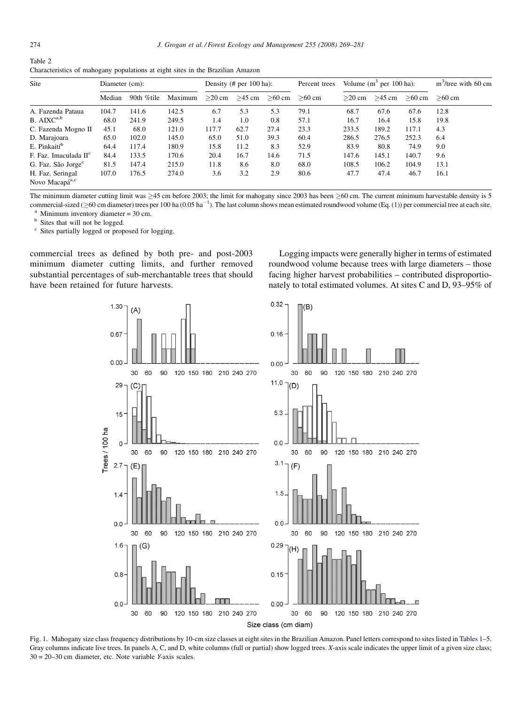<span id="page-5-0"></span>

| Table 2                                                                        |  |
|--------------------------------------------------------------------------------|--|
| Characteristics of mahogany populations at eight sites in the Brazilian Amazon |  |

| <b>Site</b>                                    | Diameter (cm): |            | Density $(\#$ per 100 ha): |          | Percent trees | Volume $(m^3$ per 100 ha): |          |          | $m3/$ tree with 60 cm |          |          |
|------------------------------------------------|----------------|------------|----------------------------|----------|---------------|----------------------------|----------|----------|-----------------------|----------|----------|
|                                                | Median         | 90th %tile | Maximum                    | $>20$ cm | $>45$ cm      | $>60$ cm                   | $>60$ cm | $>20$ cm | $>45$ cm              | $>60$ cm | $>60$ cm |
| A. Fazenda Pataua                              | 104.7          | 141.6      | 142.5                      | 6.7      | 5.3           | 5.3                        | 79.1     | 68.7     | 67.6                  | 67.6     | 12.8     |
| B. AIXC <sup>a,b</sup>                         | 68.0           | 241.9      | 249.5                      | 1.4      | 1.0           | 0.8                        | 57.1     | 16.7     | 16.4                  | 15.8     | 19.8     |
| C. Fazenda Mogno II                            | 45.1           | 68.0       | 121.0                      | 117.7    | 62.7          | 27.4                       | 23.3     | 233.5    | 189.2                 | 117.1    | 4.3      |
| D. Marajoara                                   | 65.0           | 102.0      | 145.0                      | 65.0     | 51.0          | 39.3                       | 60.4     | 286.5    | 276.5                 | 252.3    | 6.4      |
| E. Pinkaití <sup>b</sup>                       | 64.4           | 117.4      | 180.9                      | 15.8     | 11.2          | 8.3                        | 52.9     | 83.9     | 80.8                  | 74.9     | 9.0      |
| F. Faz. Imaculada II <sup>c</sup>              | 84.4           | 133.5      | 170.6                      | 20.4     | 16.7          | 14.6                       | 71.5     | 147.6    | 145.1                 | 140.7    | 9.6      |
| G. Faz. São Jorge <sup>c</sup>                 | 81.5           | 147.4      | 215.0                      | 11.8     | 8.6           | 8.0                        | 68.0     | 108.5    | 106.2                 | 104.9    | 13.1     |
| H. Faz. Seringal<br>Novo Macapá <sup>a,c</sup> | 107.0          | 176.5      | 274.0                      | 3.6      | 3.2           | 2.9                        | 80.6     | 47.7     | 47.4                  | 46.7     | 16.1     |

The minimum diameter cutting limit was  $\geq$ 45 cm before 2003; the limit for mahogany since 2003 has been  $\geq$ 60 cm. The current minimum harvestable density is 5 commercial-sized ( $\geq$ 60 cm diameter) trees per 100 ha (0.05 ha<sup>-1</sup>). The last column shows mean estimated roundwood volume (Eq. [\(1\)](#page-3-0)) per commercial tree at each site. <sup>a</sup> Minimum inventory diameter = 30 cm.

<sup>b</sup> Sites that will not be logged.

<sup>c</sup> Sites partially logged or proposed for logging.

commercial trees as defined by both pre- and post-2003 minimum diameter cutting limits, and further removed substantial percentages of sub-merchantable trees that should have been retained for future harvests.

Logging impacts were generally higher in terms of estimated roundwood volume because trees with large diameters – those facing higher harvest probabilities – contributed disproportionately to total estimated volumes. At sites C and D, 93–95% of



Fig. 1. Mahogany size class frequency distributions by 10-cm size classes at eight sites in the Brazilian Amazon. Panel letters correspond to sites listed in [Tables 1–5.](#page-2-0) Gray columns indicate live trees. In panels A, C, and D, white columns (full or partial) show logged trees. X-axis scale indicates the upper limit of a given size class; 30 = 20–30 cm diameter, etc. Note variable Y-axis scales.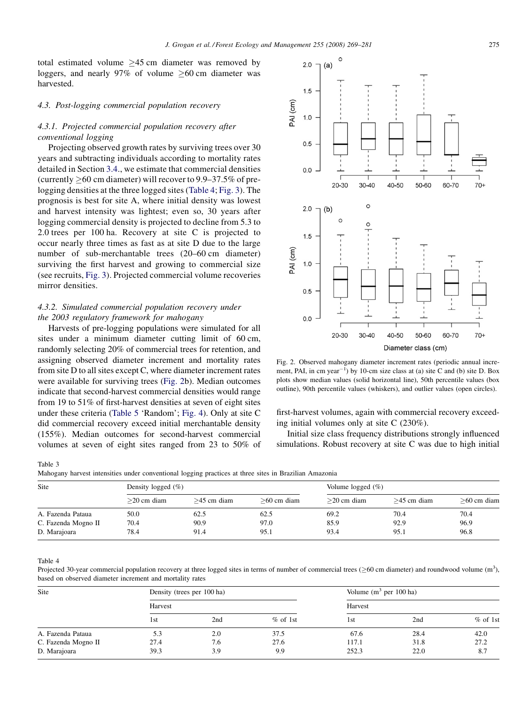<span id="page-6-0"></span>total estimated volume  $\geq$ 45 cm diameter was removed by loggers, and nearly 97% of volume  $\geq 60$  cm diameter was harvested.

#### 4.3. Post-logging commercial population recovery

# 4.3.1. Projected commercial population recovery after conventional logging

Projecting observed growth rates by surviving trees over 30 years and subtracting individuals according to mortality rates detailed in Section [3.4.](#page-3-0), we estimate that commercial densities (currently  $\geq$ 60 cm diameter) will recover to 9.9–37.5% of prelogging densities at the three logged sites (Table 4; [Fig. 3\)](#page-7-0). The prognosis is best for site A, where initial density was lowest and harvest intensity was lightest; even so, 30 years after logging commercial density is projected to decline from 5.3 to 2.0 trees per 100 ha. Recovery at site C is projected to occur nearly three times as fast as at site D due to the large number of sub-merchantable trees (20–60 cm diameter) surviving the first harvest and growing to commercial size (see recruits, [Fig. 3\)](#page-7-0). Projected commercial volume recoveries mirror densities.

# 4.3.2. Simulated commercial population recovery under the 2003 regulatory framework for mahogany

Harvests of pre-logging populations were simulated for all sites under a minimum diameter cutting limit of 60 cm, randomly selecting 20% of commercial trees for retention, and assigning observed diameter increment and mortality rates from site D to all sites except C, where diameter increment rates were available for surviving trees (Fig. 2b). Median outcomes indicate that second-harvest commercial densities would range from 19 to 51% of first-harvest densities at seven of eight sites under these criteria [\(Table 5](#page-7-0) 'Random'; [Fig. 4\)](#page-7-0). Only at site C did commercial recovery exceed initial merchantable density (155%). Median outcomes for second-harvest commercial volumes at seven of eight sites ranged from 23 to 50% of



Fig. 2. Observed mahogany diameter increment rates (periodic annual increment, PAI, in cm year<sup> $-1$ </sup>) by 10-cm size class at (a) site C and (b) site D. Box plots show median values (solid horizontal line), 50th percentile values (box outline), 90th percentile values (whiskers), and outlier values (open circles).

first-harvest volumes, again with commercial recovery exceeding initial volumes only at site C (230%).

Initial size class frequency distributions strongly influenced simulations. Robust recovery at site C was due to high initial

Table 3

Mahogany harvest intensities under conventional logging practices at three sites in Brazilian Amazonia

| Site                | Density logged $(\% )$ |               |               | Volume logged $(\%)$ |               |               |  |
|---------------------|------------------------|---------------|---------------|----------------------|---------------|---------------|--|
|                     | $>20$ cm diam          | $>45$ cm diam | $>60$ cm diam | $>20$ cm diam        | $>45$ cm diam | $>60$ cm diam |  |
| A. Fazenda Pataua   | 50.0                   | 62.5          | 62.5          | 69.2                 | 70.4          | 70.4          |  |
| C. Fazenda Mogno II | 70.4                   | 90.9          | 97.0          | 85.9                 | 92.9          | 96.9          |  |
| D. Marajoara        | 78.4                   | 91.4          | 95.1          | 93.4                 | 95.1          | 96.8          |  |

Table 4

Projected 30-year commercial population recovery at three logged sites in terms of number of commercial trees ( $\geq 60$  cm diameter) and roundwood volume (m<sup>3</sup>). based on observed diameter increment and mortality rates

| Site                |         | Density (trees per 100 ha) |            | Volume $(m^3$ per 100 ha)<br>Harvest |      |            |  |
|---------------------|---------|----------------------------|------------|--------------------------------------|------|------------|--|
|                     | Harvest |                            |            |                                      |      |            |  |
|                     | 1st     | 2nd                        | $%$ of 1st | 1st                                  | 2nd  | $%$ of 1st |  |
| A. Fazenda Pataua   | 5.3     | 2.0                        | 37.5       | 67.6                                 | 28.4 | 42.0       |  |
| C. Fazenda Mogno II | 27.4    | 7.6                        | 27.6       | 117.1                                | 31.8 | 27.2       |  |
| D. Marajoara        | 39.3    | 3.9                        | 9.9        | 252.3                                | 22.0 | 8.7        |  |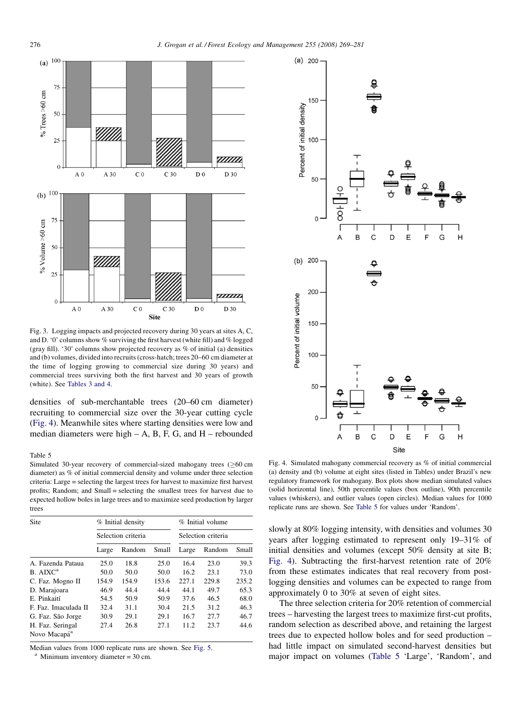<span id="page-7-0"></span>

Fig. 3. Logging impacts and projected recovery during 30 years at sites A, C, and D. '0' columns show % surviving the first harvest (white fill) and % logged (gray fill). '30' columns show projected recovery as % of initial (a) densities and (b) volumes, divided into recruits (cross-hatch; trees 20–60 cm diameter at the time of logging growing to commercial size during 30 years) and commercial trees surviving both the first harvest and 30 years of growth (white). See [Tables 3 and 4](#page-6-0).

densities of sub-merchantable trees (20–60 cm diameter) recruiting to commercial size over the 30-year cutting cycle (Fig. 4). Meanwhile sites where starting densities were low and median diameters were high – A, B, F, G, and H – rebounded

#### Table 5

Simulated 30-year recovery of commercial-sized mahogany trees  $(\geq 60 \text{ cm})$ diameter) as % of initial commercial density and volume under three selection criteria: Large = selecting the largest trees for harvest to maximize first harvest profits; Random; and Small = selecting the smallest trees for harvest due to expected hollow boles in large trees and to maximize seed production by larger trees

| Site                                         |       | % Initial density  |       | % Initial volume<br>Selection criteria |        |       |  |
|----------------------------------------------|-------|--------------------|-------|----------------------------------------|--------|-------|--|
|                                              |       | Selection criteria |       |                                        |        |       |  |
|                                              | Large | Random             | Small | Large                                  | Random | Small |  |
| A. Fazenda Pataua                            | 25.0  | 18.8               | 25.0  | 16.4                                   | 23.0   | 39.3  |  |
| B. AIXC <sup>a</sup>                         | 50.0  | 50.0               | 50.0  | 16.2                                   | 23.1   | 73.0  |  |
| C. Faz. Mogno II                             | 154.9 | 154.9              | 153.6 | 227.1                                  | 229.8  | 235.2 |  |
| D. Marajoara                                 | 46.9  | 44.4               | 44.4  | 44.1                                   | 49.7   | 65.3  |  |
| E. Pinkaití                                  | 54.5  | 50.9               | 50.9  | 37.6                                   | 46.5   | 68.0  |  |
| F. Faz. Imaculada II                         | 32.4  | 31.1               | 30.4  | 21.5                                   | 31.2   | 46.3  |  |
| G. Faz. São Jorge                            | 30.9  | 29.1               | 29.1  | 16.7                                   | 27.7   | 46.7  |  |
| H. Faz. Seringal<br>Novo Macapá <sup>a</sup> | 27.4  | 26.8               | 27.1  | 11.2                                   | 23.7   | 44.6  |  |

Median values from 1000 replicate runs are shown. See [Fig. 5](#page-8-0).<br><sup>a</sup> Minimum inventory diameter = 30 cm.



Fig. 4. Simulated mahogany commercial recovery as % of initial commercial (a) density and (b) volume at eight sites (listed in Tables) under Brazil's new regulatory framework for mahogany. Box plots show median simulated values (solid horizontal line), 50th percentile values (box outline), 90th percentile values (whiskers), and outlier values (open circles). Median values for 1000 replicate runs are shown. See Table 5 for values under 'Random'.

slowly at 80% logging intensity, with densities and volumes 30 years after logging estimated to represent only 19–31% of initial densities and volumes (except 50% density at site B; Fig. 4). Subtracting the first-harvest retention rate of 20% from these estimates indicates that real recovery from postlogging densities and volumes can be expected to range from approximately 0 to 30% at seven of eight sites.

The three selection criteria for 20% retention of commercial trees – harvesting the largest trees to maximize first-cut profits, random selection as described above, and retaining the largest trees due to expected hollow boles and for seed production – had little impact on simulated second-harvest densities but major impact on volumes (Table 5 'Large', 'Random', and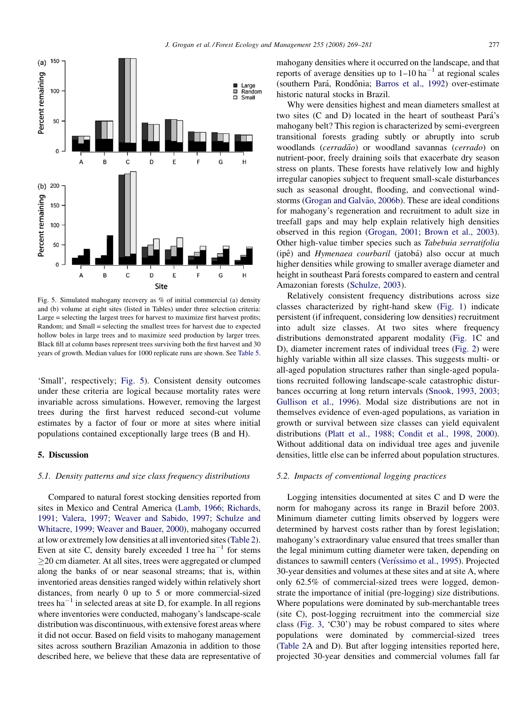<span id="page-8-0"></span>

Fig. 5. Simulated mahogany recovery as % of initial commercial (a) density and (b) volume at eight sites (listed in Tables) under three selection criteria: Large = selecting the largest trees for harvest to maximize first harvest profits; Random; and Small = selecting the smallest trees for harvest due to expected hollow boles in large trees and to maximize seed production by larger trees. Black fill at column bases represent trees surviving both the first harvest and 30 years of growth. Median values for 1000 replicate runs are shown. See [Table 5.](#page-7-0)

'Small', respectively; Fig. 5). Consistent density outcomes under these criteria are logical because mortality rates were invariable across simulations. However, removing the largest trees during the first harvest reduced second-cut volume estimates by a factor of four or more at sites where initial populations contained exceptionally large trees (B and H).

## 5. Discussion

#### 5.1. Density patterns and size class frequency distributions

Compared to natural forest stocking densities reported from sites in Mexico and Central America ([Lamb, 1966; Richards,](#page-11-0) [1991; Valera, 1997; Weaver and Sabido, 1997; Schulze and](#page-11-0) [Whitacre, 1999; Weaver and Bauer, 2000\)](#page-11-0), mahogany occurred at low or extremely low densities at all inventoried sites [\(Table 2\)](#page-5-0). Even at site C, density barely exceeded 1 tree ha<sup>-1</sup> for stems  $\geq$ 20 cm diameter. At all sites, trees were aggregated or clumped along the banks of or near seasonal streams; that is, within inventoried areas densities ranged widely within relatively short distances, from nearly 0 up to 5 or more commercial-sized trees ha<sup> $-1$ </sup> in selected areas at site D, for example. In all regions where inventories were conducted, mahogany's landscape-scale distribution was discontinuous, with extensive forest areas where it did not occur. Based on field visits to mahogany management sites across southern Brazilian Amazonia in addition to those described here, we believe that these data are representative of mahogany densities where it occurred on the landscape, and that reports of average densities up to  $1-10$  ha<sup>-1</sup> at regional scales (southern Pará, Rondônia; [Barros et al., 1992](#page-11-0)) over-estimate historic natural stocks in Brazil.

Why were densities highest and mean diameters smallest at two sites (C and D) located in the heart of southeast Para´'s mahogany belt? This region is characterized by semi-evergreen transitional forests grading subtly or abruptly into scrub woodlands (cerradão) or woodland savannas (cerrado) on nutrient-poor, freely draining soils that exacerbate dry season stress on plants. These forests have relatively low and highly irregular canopies subject to frequent small-scale disturbances such as seasonal drought, flooding, and convectional windstorms (Grogan and Galvão, 2006b). These are ideal conditions for mahogany's regeneration and recruitment to adult size in treefall gaps and may help explain relatively high densities observed in this region ([Grogan, 2001; Brown et al., 2003\)](#page-11-0). Other high-value timber species such as Tabebuia serratifolia (ipê) and Hymenaea courbaril (jatobá) also occur at much higher densities while growing to smaller average diameter and height in southeast Pará forests compared to eastern and central Amazonian forests [\(Schulze, 2003\)](#page-11-0).

Relatively consistent frequency distributions across size classes characterized by right-hand skew ([Fig. 1\)](#page-5-0) indicate persistent (if infrequent, considering low densities) recruitment into adult size classes. At two sites where frequency distributions demonstrated apparent modality [\(Fig. 1](#page-5-0)C and D), diameter increment rates of individual trees [\(Fig. 2\)](#page-6-0) were highly variable within all size classes. This suggests multi- or all-aged population structures rather than single-aged populations recruited following landscape-scale catastrophic disturbances occurring at long return intervals ([Snook, 1993, 2003;](#page-12-0) [Gullison et al., 1996](#page-12-0)). Modal size distributions are not in themselves evidence of even-aged populations, as variation in growth or survival between size classes can yield equivalent distributions [\(Platt et al., 1988; Condit et al., 1998, 2000\)](#page-11-0). Without additional data on individual tree ages and juvenile densities, little else can be inferred about population structures.

#### 5.2. Impacts of conventional logging practices

Logging intensities documented at sites C and D were the norm for mahogany across its range in Brazil before 2003. Minimum diameter cutting limits observed by loggers were determined by harvest costs rather than by forest legislation; mahogany's extraordinary value ensured that trees smaller than the legal minimum cutting diameter were taken, depending on distances to sawmill centers (Veríssimo et al., 1995). Projected 30-year densities and volumes at these sites and at site A, where only 62.5% of commercial-sized trees were logged, demonstrate the importance of initial (pre-logging) size distributions. Where populations were dominated by sub-merchantable trees (site C), post-logging recruitment into the commercial size class ([Fig. 3,](#page-7-0) 'C30') may be robust compared to sites where populations were dominated by commercial-sized trees ([Table 2](#page-5-0)A and D). But after logging intensities reported here, projected 30-year densities and commercial volumes fall far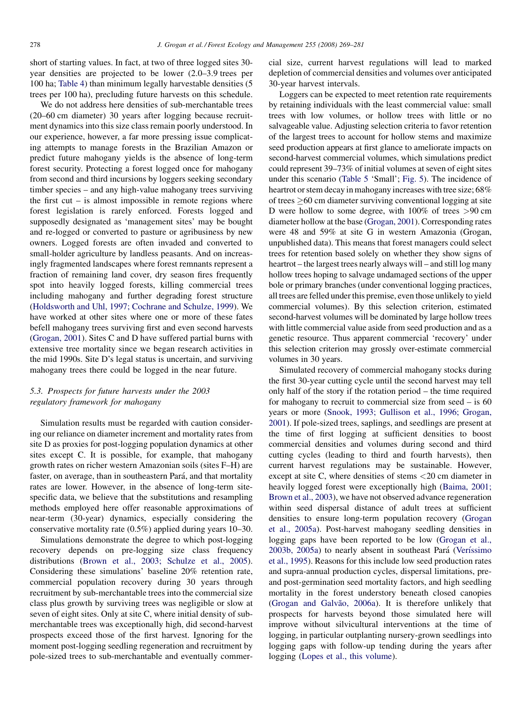short of starting values. In fact, at two of three logged sites 30 year densities are projected to be lower (2.0–3.9 trees per 100 ha; [Table 4](#page-6-0)) than minimum legally harvestable densities (5 trees per 100 ha), precluding future harvests on this schedule.

We do not address here densities of sub-merchantable trees (20–60 cm diameter) 30 years after logging because recruitment dynamics into this size class remain poorly understood. In our experience, however, a far more pressing issue complicating attempts to manage forests in the Brazilian Amazon or predict future mahogany yields is the absence of long-term forest security. Protecting a forest logged once for mahogany from second and third incursions by loggers seeking secondary timber species – and any high-value mahogany trees surviving the first cut – is almost impossible in remote regions where forest legislation is rarely enforced. Forests logged and supposedly designated as 'management sites' may be bought and re-logged or converted to pasture or agribusiness by new owners. Logged forests are often invaded and converted to small-holder agriculture by landless peasants. And on increasingly fragmented landscapes where forest remnants represent a fraction of remaining land cover, dry season fires frequently spot into heavily logged forests, killing commercial trees including mahogany and further degrading forest structure ([Holdsworth and Uhl, 1997; Cochrane and Schulze, 1999](#page-11-0)). We have worked at other sites where one or more of these fates befell mahogany trees surviving first and even second harvests ([Grogan, 2001\)](#page-11-0). Sites C and D have suffered partial burns with extensive tree mortality since we began research activities in the mid 1990s. Site D's legal status is uncertain, and surviving mahogany trees there could be logged in the near future.

# 5.3. Prospects for future harvests under the 2003 regulatory framework for mahogany

Simulation results must be regarded with caution considering our reliance on diameter increment and mortality rates from site D as proxies for post-logging population dynamics at other sites except C. It is possible, for example, that mahogany growth rates on richer western Amazonian soils (sites F–H) are faster, on average, than in southeastern Pará, and that mortality rates are lower. However, in the absence of long-term sitespecific data, we believe that the substitutions and resampling methods employed here offer reasonable approximations of near-term (30-year) dynamics, especially considering the conservative mortality rate (0.5%) applied during years 10–30.

Simulations demonstrate the degree to which post-logging recovery depends on pre-logging size class frequency distributions [\(Brown et al., 2003; Schulze et al., 2005\)](#page-11-0). Considering these simulations' baseline 20% retention rate, commercial population recovery during 30 years through recruitment by sub-merchantable trees into the commercial size class plus growth by surviving trees was negligible or slow at seven of eight sites. Only at site C, where initial density of submerchantable trees was exceptionally high, did second-harvest prospects exceed those of the first harvest. Ignoring for the moment post-logging seedling regeneration and recruitment by pole-sized trees to sub-merchantable and eventually commercial size, current harvest regulations will lead to marked depletion of commercial densities and volumes over anticipated 30-year harvest intervals.

Loggers can be expected to meet retention rate requirements by retaining individuals with the least commercial value: small trees with low volumes, or hollow trees with little or no salvageable value. Adjusting selection criteria to favor retention of the largest trees to account for hollow stems and maximize seed production appears at first glance to ameliorate impacts on second-harvest commercial volumes, which simulations predict could represent 39–73% of initial volumes at seven of eight sites under this scenario ([Table 5](#page-7-0) 'Small'; [Fig. 5](#page-8-0)). The incidence of heartrot or stem decay in mahogany increases with tree size; 68% of trees  $\geq$  60 cm diameter surviving conventional logging at site D were hollow to some degree, with 100% of trees >90 cm diameter hollow at the base ([Grogan, 2001](#page-11-0)). Corresponding rates were 48 and 59% at site G in western Amazonia (Grogan, unpublished data). This means that forest managers could select trees for retention based solely on whether they show signs of heartrot – the largest trees nearly always will – and still log many hollow trees hoping to salvage undamaged sections of the upper bole or primary branches (under conventional logging practices, all trees are felled under this premise, even those unlikely to yield commercial volumes). By this selection criterion, estimated second-harvest volumes will be dominated by large hollow trees with little commercial value aside from seed production and as a genetic resource. Thus apparent commercial 'recovery' under this selection criterion may grossly over-estimate commercial volumes in 30 years.

Simulated recovery of commercial mahogany stocks during the first 30-year cutting cycle until the second harvest may tell only half of the story if the rotation period – the time required for mahogany to recruit to commercial size from seed  $-$  is 60 years or more ([Snook, 1993; Gullison et al., 1996; Grogan,](#page-12-0) [2001\)](#page-12-0). If pole-sized trees, saplings, and seedlings are present at the time of first logging at sufficient densities to boost commercial densities and volumes during second and third cutting cycles (leading to third and fourth harvests), then current harvest regulations may be sustainable. However, except at site C, where densities of stems <20 cm diameter in heavily logged forest were exceptionally high ([Baima, 2001;](#page-10-0) [Brown et al., 2003\)](#page-10-0), we have not observed advance regeneration within seed dispersal distance of adult trees at sufficient densities to ensure long-term population recovery ([Grogan](#page-11-0) [et al., 2005a](#page-11-0)). Post-harvest mahogany seedling densities in logging gaps have been reported to be low ([Grogan et al.,](#page-11-0) [2003b, 2005a\)](#page-11-0) to nearly absent in southeast Pará (Veríssimo [et al., 1995\)](#page-12-0). Reasons for this include low seed production rates and supra-annual production cycles, dispersal limitations, preand post-germination seed mortality factors, and high seedling mortality in the forest understory beneath closed canopies (Grogan and Galvão, 2006a). It is therefore unlikely that prospects for harvests beyond those simulated here will improve without silvicultural interventions at the time of logging, in particular outplanting nursery-grown seedlings into logging gaps with follow-up tending during the years after logging ([Lopes et al., this volume\)](#page-11-0).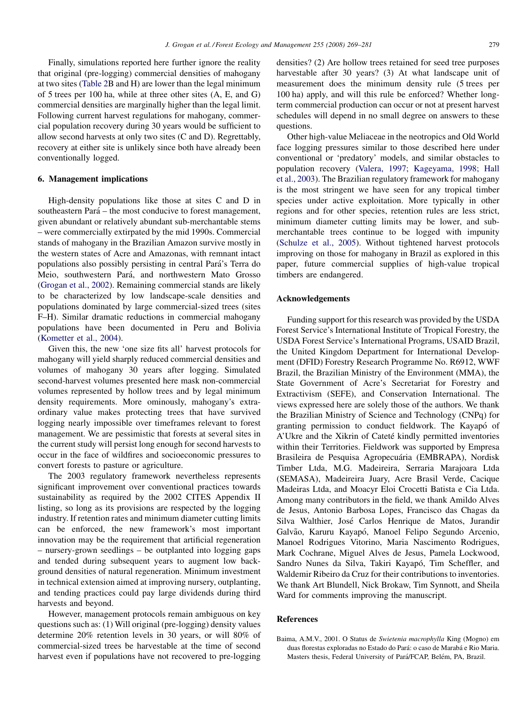<span id="page-10-0"></span>Finally, simulations reported here further ignore the reality that original (pre-logging) commercial densities of mahogany at two sites [\(Table 2B](#page-5-0) and H) are lower than the legal minimum of 5 trees per 100 ha, while at three other sites (A, E, and G) commercial densities are marginally higher than the legal limit. Following current harvest regulations for mahogany, commercial population recovery during 30 years would be sufficient to allow second harvests at only two sites (C and D). Regrettably, recovery at either site is unlikely since both have already been conventionally logged.

## 6. Management implications

High-density populations like those at sites C and D in southeastern Pará – the most conducive to forest management, given abundant or relatively abundant sub-merchantable stems – were commercially extirpated by the mid 1990s. Commercial stands of mahogany in the Brazilian Amazon survive mostly in the western states of Acre and Amazonas, with remnant intact populations also possibly persisting in central Para´'s Terra do Meio, southwestern Pará, and northwestern Mato Grosso ([Grogan et al., 2002](#page-11-0)). Remaining commercial stands are likely to be characterized by low landscape-scale densities and populations dominated by large commercial-sized trees (sites F–H). Similar dramatic reductions in commercial mahogany populations have been documented in Peru and Bolivia ([Kometter et al., 2004\)](#page-11-0).

Given this, the new 'one size fits all' harvest protocols for mahogany will yield sharply reduced commercial densities and volumes of mahogany 30 years after logging. Simulated second-harvest volumes presented here mask non-commercial volumes represented by hollow trees and by legal minimum density requirements. More ominously, mahogany's extraordinary value makes protecting trees that have survived logging nearly impossible over timeframes relevant to forest management. We are pessimistic that forests at several sites in the current study will persist long enough for second harvests to occur in the face of wildfires and socioeconomic pressures to convert forests to pasture or agriculture.

The 2003 regulatory framework nevertheless represents significant improvement over conventional practices towards sustainability as required by the 2002 CITES Appendix II listing, so long as its provisions are respected by the logging industry. If retention rates and minimum diameter cutting limits can be enforced, the new framework's most important innovation may be the requirement that artificial regeneration – nursery-grown seedlings – be outplanted into logging gaps and tended during subsequent years to augment low background densities of natural regeneration. Minimum investment in technical extension aimed at improving nursery, outplanting, and tending practices could pay large dividends during third harvests and beyond.

However, management protocols remain ambiguous on key questions such as: (1) Will original (pre-logging) density values determine 20% retention levels in 30 years, or will 80% of commercial-sized trees be harvestable at the time of second harvest even if populations have not recovered to pre-logging densities? (2) Are hollow trees retained for seed tree purposes harvestable after 30 years? (3) At what landscape unit of measurement does the minimum density rule (5 trees per 100 ha) apply, and will this rule be enforced? Whether longterm commercial production can occur or not at present harvest schedules will depend in no small degree on answers to these questions.

Other high-value Meliaceae in the neotropics and Old World face logging pressures similar to those described here under conventional or 'predatory' models, and similar obstacles to population recovery ([Valera, 1997; Kageyama, 1998; Hall](#page-12-0) [et al., 2003\)](#page-12-0). The Brazilian regulatory framework for mahogany is the most stringent we have seen for any tropical timber species under active exploitation. More typically in other regions and for other species, retention rules are less strict, minimum diameter cutting limits may be lower, and submerchantable trees continue to be logged with impunity ([Schulze et al., 2005\)](#page-11-0). Without tightened harvest protocols improving on those for mahogany in Brazil as explored in this paper, future commercial supplies of high-value tropical timbers are endangered.

## Acknowledgements

Funding support for this research was provided by the USDA Forest Service's International Institute of Tropical Forestry, the USDA Forest Service's International Programs, USAID Brazil, the United Kingdom Department for International Development (DFID) Forestry Research Programme No. R6912, WWF Brazil, the Brazilian Ministry of the Environment (MMA), the State Government of Acre's Secretariat for Forestry and Extractivism (SEFE), and Conservation International. The views expressed here are solely those of the authors. We thank the Brazilian Ministry of Science and Technology (CNPq) for granting permission to conduct fieldwork. The Kayapo´ of A'Ukre and the Xikrin of Cateté kindly permitted inventories within their Territories. Fieldwork was supported by Empresa Brasileira de Pesquisa Agropecuária (EMBRAPA), Nordisk Timber Ltda, M.G. Madeireira, Serraria Marajoara Ltda (SEMASA), Madeireira Juary, Acre Brasil Verde, Cacique Madeiras Ltda, and Moacyr Eloi Crocetti Batista e Cia Ltda. Among many contributors in the field, we thank Amildo Alves de Jesus, Antonio Barbosa Lopes, Francisco das Chagas da Silva Walthier, José Carlos Henrique de Matos, Jurandir Galvão, Karuru Kayapó, Manoel Felipo Segundo Arcenio, Manoel Rodrigues Vitorino, Maria Nascimento Rodrigues, Mark Cochrane, Miguel Alves de Jesus, Pamela Lockwood, Sandro Nunes da Silva, Takiri Kayapó, Tim Scheffler, and Waldemir Ribeiro da Cruz for their contributions to inventories. We thank Art Blundell, Nick Brokaw, Tim Synnott, and Sheila Ward for comments improving the manuscript.

## References

Baima, A.M.V., 2001. O Status de Swietenia macrophylla King (Mogno) em duas florestas exploradas no Estado do Pará: o caso de Marabá e Rio Maria. Masters thesis, Federal University of Pará/FCAP, Belém, PA, Brazil.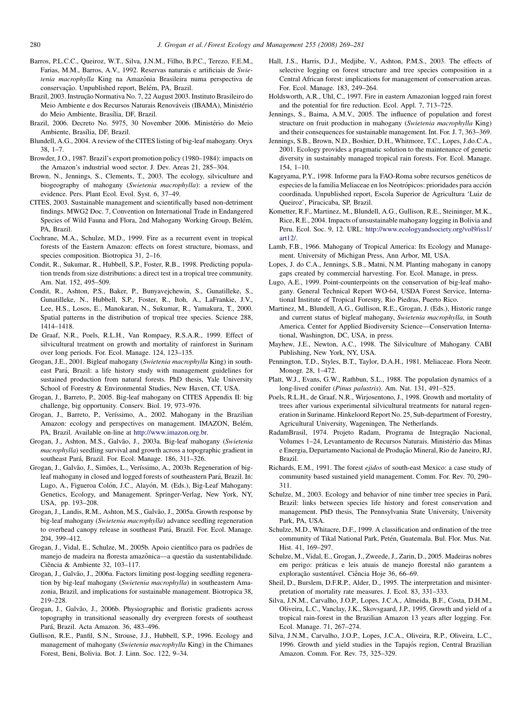- <span id="page-11-0"></span>Barros, P.L.C.C., Queiroz, W.T., Silva, J.N.M., Filho, B.P.C., Terezo, F.E.M., Farias, M.M., Barros, A.V., 1992. Reservas naturais e artificiais de Swietenia macrophylla King na Amazônia Brasileira numa perspectiva de conservação. Unpublished report, Belém, PA, Brazil.
- Brazil, 2003. Instrução Normativa No. 7, 22 August 2003. Instituto Brasileiro do Meio Ambiente e dos Recursos Naturais Renováveis (IBAMA), Ministério do Meio Ambiente, Brasília, DF, Brazil.
- Brazil, 2006. Decreto No. 5975, 30 November 2006. Ministério do Meio Ambiente, Brasília, DF, Brazil.
- Blundell, A.G., 2004. A review of the CITES listing of big-leaf mahogany. Oryx 38, 1–7.
- Browder, J.O., 1987. Brazil's export promotion policy (1980–1984): impacts on the Amazon's industrial wood sector. J. Dev. Areas 21, 285–304.
- Brown, N., Jennings, S., Clements, T., 2003. The ecology, silviculture and biogeography of mahogany (Swietenia macrophylla): a review of the evidence. Pers. Plant Ecol. Evol. Syst. 6, 37–49.
- CITES, 2003. Sustainable management and scientifically based non-detriment findings. MWG2 Doc. 7, Convention on International Trade in Endangered Species of Wild Fauna and Flora, 2nd Mahogany Working Group, Belém, PA, Brazil.
- Cochrane, M.A., Schulze, M.D., 1999. Fire as a recurrent event in tropical forests of the Eastern Amazon: effects on forest structure, biomass, and species composition. Biotropica 31, 2–16.
- Condit, R., Sukumar, R., Hubbell, S.P., Foster, R.B., 1998. Predicting population trends from size distributions: a direct test in a tropical tree community. Am. Nat. 152, 495–509.
- Condit, R., Ashton, P.S., Baker, P., Bunyavejchewin, S., Gunatilleke, S., Gunatilleke, N., Hubbell, S.P., Foster, R., Itoh, A., LaFrankie, J.V., Lee, H.S., Losos, E., Manokaran, N., Sukumar, R., Yamakura, T., 2000. Spatial patterns in the distribution of tropical tree species. Science 288, 1414–1418.
- De Graaf, N.R., Poels, R.L.H., Van Rompaey, R.S.A.R., 1999. Effect of silvicultural treatment on growth and mortality of rainforest in Surinam over long periods. For. Ecol. Manage. 124, 123–135.
- Grogan, J.E., 2001. Bigleaf mahogany (Swietenia macrophylla King) in southeast Para´, Brazil: a life history study with management guidelines for sustained production from natural forests. PhD thesis, Yale University School of Forestry & Environmental Studies, New Haven, CT, USA.
- Grogan, J., Barreto, P., 2005. Big-leaf mahogany on CITES Appendix II: big challenge, big opportunity. Conserv. Biol. 19, 973–976.
- Grogan, J., Barreto, P., Veríssimo, A., 2002. Mahogany in the Brazilian Amazon: ecology and perspectives on management. IMAZON, Belém, PA, Brazil. Available on-line at [http://www.imazon.org.br.](http://www.imazon.org.br/)
- Grogan, J., Ashton, M.S., Galvão, J., 2003a. Big-leaf mahogany (Swietenia macrophylla) seedling survival and growth across a topographic gradient in southeast Pará, Brazil. For. Ecol. Manage. 186, 311-326.
- Grogan, J., Galvão, J., Simões, L., Veríssimo, A., 2003b. Regeneration of bigleaf mahogany in closed and logged forests of southeastern Pará, Brazil. In: Lugo, A., Figueroa Colón, J.C., Alayón, M. (Eds.), Big-Leaf Mahogany: Genetics, Ecology, and Management. Springer-Verlag, New York, NY, USA, pp. 193–208.
- Grogan, J., Landis, R.M., Ashton, M.S., Galvão, J., 2005a. Growth response by big-leaf mahogany (Swietenia macrophylla) advance seedling regeneration to overhead canopy release in southeast Pará, Brazil. For. Ecol. Manage. 204, 399–412.
- Grogan, J., Vidal, E., Schulze, M., 2005b. Apoio científico para os padrões de manejo de madeira na floresta amazônica—a questão da sustentabilidade. Ciência & Ambiente 32, 103-117.
- Grogan, J., Galvão, J., 2006a. Factors limiting post-logging seedling regeneration by big-leaf mahogany (Swietenia macrophylla) in southeastern Amazonia, Brazil, and implications for sustainable management. Biotropica 38, 219–228.
- Grogan, J., Galvão, J., 2006b. Physiographic and floristic gradients across topography in transitional seasonally dry evergreen forests of southeast Para´, Brazil. Acta Amazon. 36, 483–496.
- Gullison, R.E., Panfil, S.N., Strouse, J.J., Hubbell, S.P., 1996. Ecology and management of mahogany (Swietenia macrophylla King) in the Chimanes Forest, Beni, Bolivia. Bot. J. Linn. Soc. 122, 9–34.
- Hall, J.S., Harris, D.J., Medjibe, V., Ashton, P.M.S., 2003. The effects of selective logging on forest structure and tree species composition in a Central African forest: implications for management of conservation areas. For. Ecol. Manage. 183, 249–264.
- Holdsworth, A.R., Uhl, C., 1997. Fire in eastern Amazonian logged rain forest and the potential for fire reduction. Ecol. Appl. 7, 713–725.
- Jennings, S., Baima, A.M.V., 2005. The influence of population and forest structure on fruit production in mahogany (Swietenia macrophylla King) and their consequences for sustainable management. Int. For. J. 7, 363–369.
- Jennings, S.B., Brown, N.D., Boshier, D.H., Whitmore, T.C., Lopes, J.do.C.A., 2001. Ecology provides a pragmatic solution to the maintenance of genetic diversity in sustainably managed tropical rain forests. For. Ecol. Manage. 154, 1–10.
- Kageyama, P.Y., 1998. Informe para la FAO-Roma sobre recursos genéticos de especies de la familia Meliaceae en los Neotrópicos: prioridades para acción coordinada. Unpublished report, Escola Superior de Agricultura 'Luiz de Queiroz', Piracicaba, SP, Brazil.
- Kometter, R.F., Martinez, M., Blundell, A.G., Gullison, R.E., Steininger, M.K., Rice, R.E., 2004. Impacts of unsustainable mahogany logging in Bolivia and Peru. Ecol. Soc. 9, 12. URL: [http://www.ecologyandsociety.org/vol9/iss1/](http://www.ecologyandsociety.org/vol9/iss1/art12/) [art12/](http://www.ecologyandsociety.org/vol9/iss1/art12/).
- Lamb, F.B., 1966. Mahogany of Tropical America: Its Ecology and Management. University of Michigan Press, Ann Arbor, MI, USA.
- Lopes, J. do C.A., Jennings, S.B., Matni, N.M. Planting mahogany in canopy gaps created by commercial harvesting. For. Ecol. Manage, in press.
- Lugo, A.E., 1999. Point-counterpoints on the conservation of big-leaf mahogany. General Technical Report WO-64, USDA Forest Service, International Institute of Tropical Forestry, Rio Piedras, Puerto Rico.
- Martinez, M., Blundell, A.G., Gullison, R.E., Grogan, J. (Eds.), Historic range and current status of bigleaf mahogany, Swietenia macrophylla, in South America. Center for Applied Biodiversity Science—Conservation International, Washington, DC, USA, in press.
- Mayhew, J.E., Newton, A.C., 1998. The Silviculture of Mahogany. CABI Publishing, New York, NY, USA.
- Pennington, T.D., Styles, B.T., Taylor, D.A.H., 1981. Meliaceae. Flora Neotr. Monogr. 28, 1–472.
- Platt, W.J., Evans, G.W., Rathbun, S.L., 1988. The population dynamics of a long-lived conifer (Pinus palustris). Am. Nat. 131, 491–525.
- Poels, R.L.H., de Graaf, N.R., Wirjosentono, J., 1998. Growth and mortality of trees after various experimental silvicultural treatments for natural regeneration in Suriname. Hinkeloord Report No. 25, Sub-department of Forestry, Agricultural University, Wageningen, The Netherlands.
- RadamBrasil, 1974. Projeto Radam, Programa de Integração Nacional, Volumes 1–24, Levantamento de Recursos Naturais. Ministério das Minas e Energia, Departamento Nacional de Produção Mineral, Rio de Janeiro, RJ, Brazil.
- Richards, E.M., 1991. The forest ejidos of south-east Mexico: a case study of community based sustained yield management. Comm. For. Rev. 70, 290– 311.
- Schulze, M., 2003. Ecology and behavior of nine timber tree species in Pará, Brazil: links between species life history and forest conservation and management. PhD thesis, The Pennsylvania State University, University Park, PA, USA.
- Schulze, M.D., Whitacre, D.F., 1999. A classification and ordination of the tree community of Tikal National Park, Petén, Guatemala. Bul. Flor. Mus. Nat. Hist. 41, 169–297.
- Schulze, M., Vidal, E., Grogan, J., Zweede, J., Zarin, D., 2005. Madeiras nobres em perigo: práticas e leis atuais de manejo florestal não garantem a exploração sustentável. Ciência Hoje 36, 66-69.
- Sheil, D., Burslem, D.F.R.P., Alder, D., 1995. The interpretation and misinterpretation of mortality rate measures. J. Ecol. 83, 331–333.
- Silva, J.N.M., Carvalho, J.O.P., Lopes, J.C.A., Almeida, B.F., Costa, D.H.M., Oliveira, L.C., Vanclay, J.K., Skovsgaard, J.P., 1995. Growth and yield of a tropical rain-forest in the Brazilian Amazon 13 years after logging. For. Ecol. Manage. 71, 267–274.
- Silva, J.N.M., Carvalho, J.O.P., Lopes, J.C.A., Oliveira, R.P., Oliveira, L.C., 1996. Growth and yield studies in the Tapajós region, Central Brazilian Amazon. Comm. For. Rev. 75, 325–329.